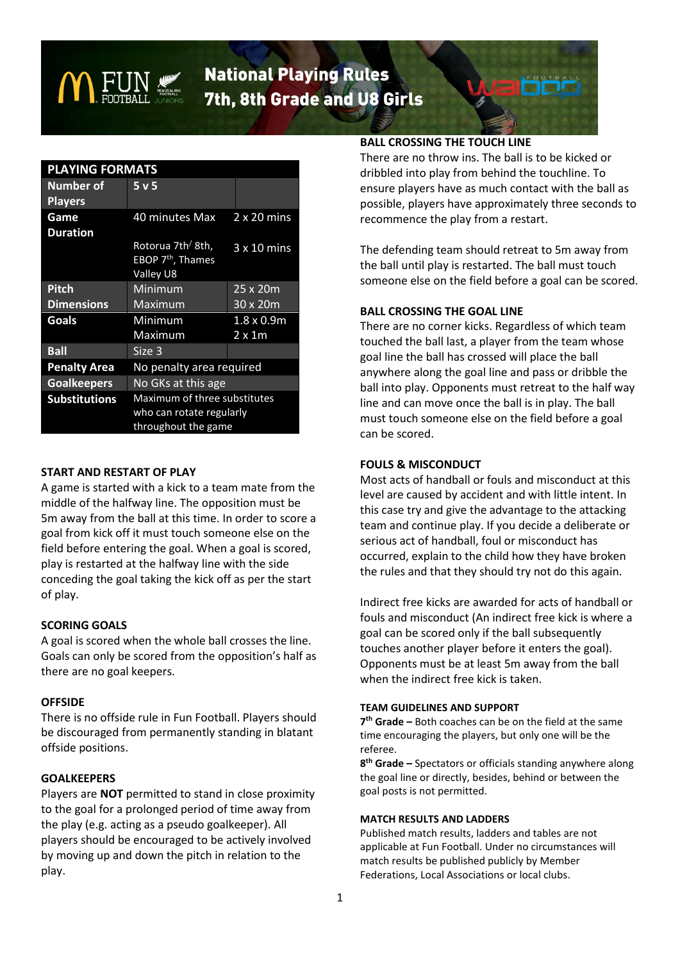

# **National Playing Rules** 7th, 8th Grade and U8 Girls

| <b>PLAYING FORMATS</b>             |                                                                                 |                                    |
|------------------------------------|---------------------------------------------------------------------------------|------------------------------------|
| <b>Number of</b><br><b>Players</b> | 5 <sub>v</sub> 5                                                                |                                    |
| Game<br><b>Duration</b>            | 40 minutes Max                                                                  | $2 \times 20$ mins                 |
|                                    | Rotorua 7th <sup>/</sup> 8th,<br>EBOP 7 <sup>th</sup> , Thames<br>Valley U8     | $3x10$ mins                        |
| <b>Pitch</b>                       | Minimum                                                                         | 25 x 20m                           |
| <b>Dimensions</b>                  | Maximum                                                                         | $30 \times 20m$                    |
| Goals                              | Minimum<br>Maximum                                                              | $1.8 \times 0.9m$<br>$2 \times 1m$ |
| <b>Ball</b>                        | Size 3                                                                          |                                    |
| <b>Penalty Area</b>                | No penalty area required                                                        |                                    |
| <b>Goalkeepers</b>                 | No GKs at this age                                                              |                                    |
| <b>Substitutions</b>               | Maximum of three substitutes<br>who can rotate regularly<br>throughout the game |                                    |

## **START AND RESTART OF PLAY**

A game is started with a kick to a team mate from the middle of the halfway line. The opposition must be 5m away from the ball at this time. In order to score a goal from kick off it must touch someone else on the field before entering the goal. When a goal is scored, play is restarted at the halfway line with the side conceding the goal taking the kick off as per the start of play.

# **SCORING GOALS**

A goal is scored when the whole ball crosses the line. Goals can only be scored from the opposition's half as there are no goal keepers.

# **OFFSIDE**

There is no offside rule in Fun Football. Players should be discouraged from permanently standing in blatant offside positions.

# **GOALKEEPERS**

Players are **NOT** permitted to stand in close proximity to the goal for a prolonged period of time away from the play (e.g. acting as a pseudo goalkeeper). All players should be encouraged to be actively involved by moving up and down the pitch in relation to the play.

## **BALL CROSSING THE TOUCH LINE**

There are no throw ins. The ball is to be kicked or dribbled into play from behind the touchline. To ensure players have as much contact with the ball as possible, players have approximately three seconds to recommence the play from a restart.

The defending team should retreat to 5m away from the ball until play is restarted. The ball must touch someone else on the field before a goal can be scored.

## **BALL CROSSING THE GOAL LINE**

There are no corner kicks. Regardless of which team touched the ball last, a player from the team whose goal line the ball has crossed will place the ball anywhere along the goal line and pass or dribble the ball into play. Opponents must retreat to the half way line and can move once the ball is in play. The ball must touch someone else on the field before a goal can be scored.

## **FOULS & MISCONDUCT**

Most acts of handball or fouls and misconduct at this level are caused by accident and with little intent. In this case try and give the advantage to the attacking team and continue play. If you decide a deliberate or serious act of handball, foul or misconduct has occurred, explain to the child how they have broken the rules and that they should try not do this again.

Indirect free kicks are awarded for acts of handball or fouls and misconduct (An indirect free kick is where a goal can be scored only if the ball subsequently touches another player before it enters the goal). Opponents must be at least 5m away from the ball when the indirect free kick is taken.

#### **TEAM GUIDELINES AND SUPPORT**

**7 th Grade –** Both coaches can be on the field at the same time encouraging the players, but only one will be the referee.

**8 th Grade –** Spectators or officials standing anywhere along the goal line or directly, besides, behind or between the goal posts is not permitted.

#### **MATCH RESULTS AND LADDERS**

Published match results, ladders and tables are not applicable at Fun Football. Under no circumstances will match results be published publicly by Member Federations, Local Associations or local clubs.